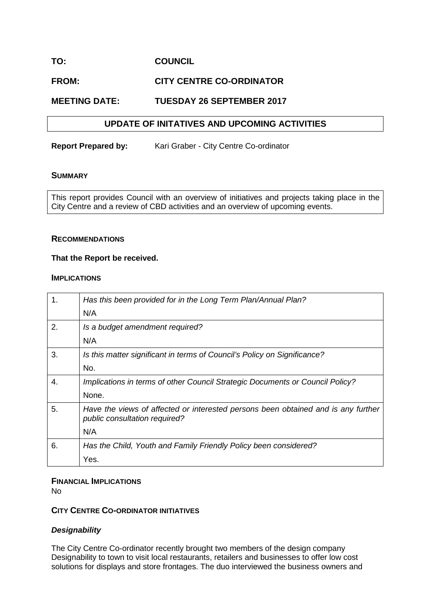# **TO: COUNCIL**

# **FROM: CITY CENTRE CO-ORDINATOR**

# **MEETING DATE: TUESDAY 26 SEPTEMBER 2017**

### **UPDATE OF INITATIVES AND UPCOMING ACTIVITIES**

**Report Prepared by:** Kari Graber - City Centre Co-ordinator

#### **SUMMARY**

This report provides Council with an overview of initiatives and projects taking place in the City Centre and a review of CBD activities and an overview of upcoming events.

#### **RECOMMENDATIONS**

#### **That the Report be received.**

#### **IMPLICATIONS**

| 1.          | Has this been provided for in the Long Term Plan/Annual Plan?                                                      |
|-------------|--------------------------------------------------------------------------------------------------------------------|
|             | N/A                                                                                                                |
| 2.          | Is a budget amendment required?                                                                                    |
|             | N/A                                                                                                                |
| 3.          | Is this matter significant in terms of Council's Policy on Significance?                                           |
|             | No.                                                                                                                |
| $\mathbf 4$ | Implications in terms of other Council Strategic Documents or Council Policy?                                      |
|             | None.                                                                                                              |
| 5.          | Have the views of affected or interested persons been obtained and is any further<br>public consultation required? |
|             | N/A                                                                                                                |
| 6.          | Has the Child, Youth and Family Friendly Policy been considered?                                                   |
|             | Yes.                                                                                                               |

### **FINANCIAL IMPLICATIONS**

No

# **CITY CENTRE CO-ORDINATOR INITIATIVES**

## *Designability*

The City Centre Co-ordinator recently brought two members of the design company Designability to town to visit local restaurants, retailers and businesses to offer low cost solutions for displays and store frontages. The duo interviewed the business owners and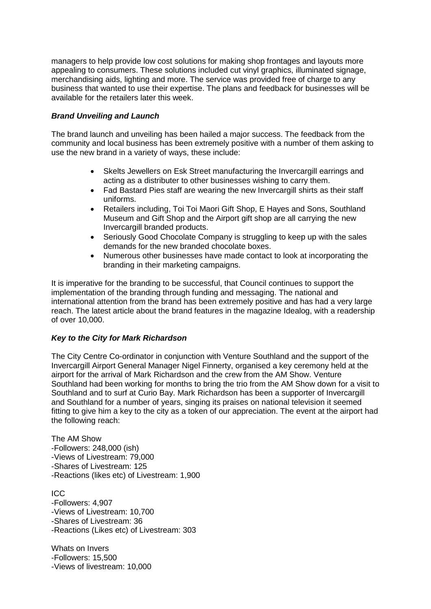managers to help provide low cost solutions for making shop frontages and layouts more appealing to consumers. These solutions included cut vinyl graphics, illuminated signage, merchandising aids, lighting and more. The service was provided free of charge to any business that wanted to use their expertise. The plans and feedback for businesses will be available for the retailers later this week.

## *Brand Unveiling and Launch*

The brand launch and unveiling has been hailed a major success. The feedback from the community and local business has been extremely positive with a number of them asking to use the new brand in a variety of ways, these include:

- [Skelts Jewellers](http://www.google.co.nz/url?sa=t&rct=j&q=&esrc=s&source=web&cd=2&cad=rja&uact=8&ved=0ahUKEwiT79ul5L7WAhVHi5QKHXWRC1wQFggzMAE&url=http%3A%2F%2Fwww.skeltsjewellers.co.nz%2Fringindex.php&usg=AFQjCNGrj8Z0NRvS4KaGqXv9r7d6uODcwg) on Esk Street manufacturing the Invercargill earrings and acting as a distributer to other businesses wishing to carry them.
- Fad Bastard Pies staff are wearing the new Invercargill shirts as their staff uniforms.
- Retailers including, Toi Toi Maori Gift Shop, E Hayes and Sons, Southland Museum and Gift Shop and the Airport gift shop are all carrying the new Invercargill branded products.
- Seriously Good Chocolate Company is struggling to keep up with the sales demands for the new branded chocolate boxes.
- Numerous other businesses have made contact to look at incorporating the branding in their marketing campaigns.

It is imperative for the branding to be successful, that Council continues to support the implementation of the branding through funding and messaging. The national and international attention from the brand has been extremely positive and has had a very large reach. The latest article about the brand features in the magazine Idealog, with a readership of over 10,000.

## *Key to the City for Mark Richardson*

The City Centre Co-ordinator in conjunction with Venture Southland and the support of the Invercargill Airport General Manager Nigel Finnerty, organised a key ceremony held at the airport for the arrival of Mark Richardson and the crew from the AM Show. Venture Southland had been working for months to bring the trio from the AM Show down for a visit to Southland and to surf at Curio Bay. Mark Richardson has been a supporter of Invercargill and Southland for a number of years, singing its praises on national television it seemed fitting to give him a key to the city as a token of our appreciation. The event at the airport had the following reach:

The AM Show -Followers: 248,000 (ish) -Views of Livestream: 79,000 -Shares of Livestream: 125 -Reactions (likes etc) of Livestream: 1,900

ICC -Followers: 4,907 -Views of Livestream: 10,700 -Shares of Livestream: 36 -Reactions (Likes etc) of Livestream: 303

Whats on Invers -Followers: 15,500 -Views of livestream: 10,000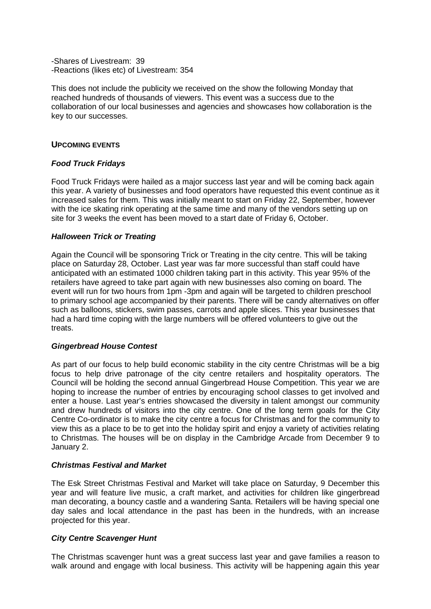-Shares of Livestream: 39 -Reactions (likes etc) of Livestream: 354

This does not include the publicity we received on the show the following Monday that reached hundreds of thousands of viewers. This event was a success due to the collaboration of our local businesses and agencies and showcases how collaboration is the key to our successes.

### **UPCOMING EVENTS**

### *Food Truck Fridays*

Food Truck Fridays were hailed as a major success last year and will be coming back again this year. A variety of businesses and food operators have requested this event continue as it increased sales for them. This was initially meant to start on Friday 22, September, however with the ice skating rink operating at the same time and many of the vendors setting up on site for 3 weeks the event has been moved to a start date of Friday 6, October.

### *Halloween Trick or Treating*

Again the Council will be sponsoring Trick or Treating in the city centre. This will be taking place on Saturday 28, October. Last year was far more successful than staff could have anticipated with an estimated 1000 children taking part in this activity. This year 95% of the retailers have agreed to take part again with new businesses also coming on board. The event will run for two hours from 1pm -3pm and again will be targeted to children preschool to primary school age accompanied by their parents. There will be candy alternatives on offer such as balloons, stickers, swim passes, carrots and apple slices. This year businesses that had a hard time coping with the large numbers will be offered volunteers to give out the treats.

#### *Gingerbread House Contest*

As part of our focus to help build economic stability in the city centre Christmas will be a big focus to help drive patronage of the city centre retailers and hospitality operators. The Council will be holding the second annual Gingerbread House Competition. This year we are hoping to increase the number of entries by encouraging school classes to get involved and enter a house. Last year's entries showcased the diversity in talent amongst our community and drew hundreds of visitors into the city centre. One of the long term goals for the City Centre Co-ordinator is to make the city centre a focus for Christmas and for the community to view this as a place to be to get into the holiday spirit and enjoy a variety of activities relating to Christmas. The houses will be on display in the Cambridge Arcade from December 9 to January 2.

#### *Christmas Festival and Market*

The Esk Street Christmas Festival and Market will take place on Saturday, 9 December this year and will feature live music, a craft market, and activities for children like gingerbread man decorating, a bouncy castle and a wandering Santa. Retailers will be having special one day sales and local attendance in the past has been in the hundreds, with an increase projected for this year.

## *City Centre Scavenger Hunt*

The Christmas scavenger hunt was a great success last year and gave families a reason to walk around and engage with local business. This activity will be happening again this year